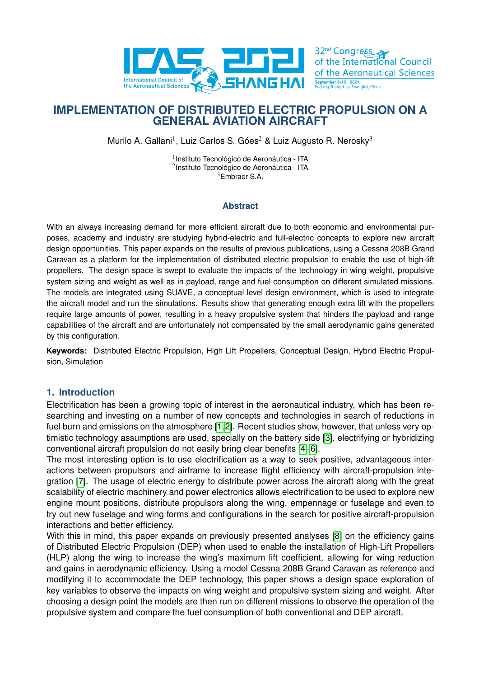

32<sup>nd</sup> Congress of the International Council of the Aeronautical Sciences September 6-10, 2021<br>Pudong Shangri-La Shan

# **IMPLEMENTATION OF DISTRIBUTED ELECTRIC PROPULSION ON A GENERAL AVIATION AIRCRAFT**

Murilo A. Gallani<sup>1</sup>, Luiz Carlos S. Góes<sup>2</sup> & Luiz Augusto R. Nerosky<sup>3</sup>

<sup>1</sup> Instituto Tecnológico de Aeronáutica - ITA 2 Instituto Tecnológico de Aeronáutica - ITA <sup>3</sup>Embraer S.A.

### **Abstract**

With an always increasing demand for more efficient aircraft due to both economic and environmental purposes, academy and industry are studying hybrid-electric and full-electric concepts to explore new aircraft design opportunities. This paper expands on the results of previous publications, using a Cessna 208B Grand Caravan as a platform for the implementation of distributed electric propulsion to enable the use of high-lift propellers. The design space is swept to evaluate the impacts of the technology in wing weight, propulsive system sizing and weight as well as in payload, range and fuel consumption on different simulated missions. The models are integrated using SUAVE, a conceptual level design environment, which is used to integrate the aircraft model and run the simulations. Results show that generating enough extra lift with the propellers require large amounts of power, resulting in a heavy propulsive system that hinders the payload and range capabilities of the aircraft and are unfortunately not compensated by the small aerodynamic gains generated by this configuration.

**Keywords:** Distributed Electric Propulsion, High Lift Propellers, Conceptual Design, Hybrid Electric Propulsion, Simulation

### **1. Introduction**

Electrification has been a growing topic of interest in the aeronautical industry, which has been researching and investing on a number of new concepts and technologies in search of reductions in fuel burn and emissions on the atmosphere [\[1,](#page-13-0)[2\]](#page-13-1). Recent studies show, however, that unless very optimistic technology assumptions are used, specially on the battery side [\[3\]](#page-13-2), electrifying or hybridizing conventional aircraft propulsion do not easily bring clear benefits [\[4–](#page-13-3)[6\]](#page-13-4).

The most interesting option is to use electrification as a way to seek positive, advantageous interactions between propulsors and airframe to increase flight efficiency with aircraft-propulsion integration [\[7\]](#page-13-5). The usage of electric energy to distribute power across the aircraft along with the great scalability of electric machinery and power electronics allows electrification to be used to explore new engine mount positions, distribute propulsors along the wing, empennage or fuselage and even to try out new fuselage and wing forms and configurations in the search for positive aircraft-propulsion interactions and better efficiency.

With this in mind, this paper expands on previously presented analyses [\[8\]](#page-13-6) on the efficiency gains of Distributed Electric Propulsion (DEP) when used to enable the installation of High-Lift Propellers (HLP) along the wing to increase the wing's maximum lift coefficient, allowing for wing reduction and gains in aerodynamic efficiency. Using a model Cessna 208B Grand Caravan as reference and modifying it to accommodate the DEP technology, this paper shows a design space exploration of key variables to observe the impacts on wing weight and propulsive system sizing and weight. After choosing a design point the models are then run on different missions to observe the operation of the propulsive system and compare the fuel consumption of both conventional and DEP aircraft.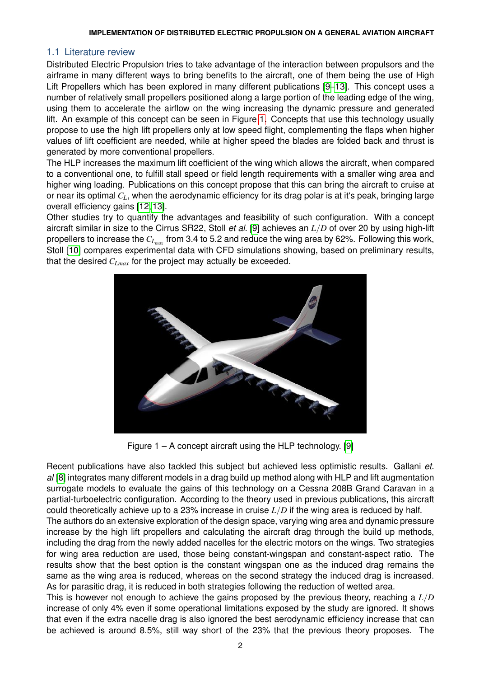### 1.1 Literature review

Distributed Electric Propulsion tries to take advantage of the interaction between propulsors and the airframe in many different ways to bring benefits to the aircraft, one of them being the use of High Lift Propellers which has been explored in many different publications [\[9–](#page-13-7)[13\]](#page-13-8). This concept uses a number of relatively small propellers positioned along a large portion of the leading edge of the wing, using them to accelerate the airflow on the wing increasing the dynamic pressure and generated lift. An example of this concept can be seen in Figure [1.](#page-1-0) Concepts that use this technology usually propose to use the high lift propellers only at low speed flight, complementing the flaps when higher values of lift coefficient are needed, while at higher speed the blades are folded back and thrust is generated by more conventional propellers.

The HLP increases the maximum lift coefficient of the wing which allows the aircraft, when compared to a conventional one, to fulfill stall speed or field length requirements with a smaller wing area and higher wing loading. Publications on this concept propose that this can bring the aircraft to cruise at or near its optimal *CL*, when the aerodynamic efficiency for its drag polar is at it's peak, bringing large overall efficiency gains [\[12,](#page-13-9) [13\]](#page-13-8).

<span id="page-1-0"></span>Other studies try to quantify the advantages and feasibility of such configuration. With a concept aircraft similar in size to the Cirrus SR22, Stoll *et al.* [\[9\]](#page-13-7) achieves an *L*/*D* of over 20 by using high-lift propellers to increase the  $C_{L_{max}}$  from 3.4 to 5.2 and reduce the wing area by 62%. Following this work, Stoll [\[10\]](#page-13-10) compares experimental data with CFD simulations showing, based on preliminary results, that the desired *CLmax* for the project may actually be exceeded.



Figure 1 – A concept aircraft using the HLP technology. [\[9\]](#page-13-7)

Recent publications have also tackled this subject but achieved less optimistic results. Gallani *et. al* [\[8\]](#page-13-6) integrates many different models in a drag build up method along with HLP and lift augmentation surrogate models to evaluate the gains of this technology on a Cessna 208B Grand Caravan in a partial-turboelectric configuration. According to the theory used in previous publications, this aircraft could theoretically achieve up to a 23% increase in cruise *L*/*D* if the wing area is reduced by half. The authors do an extensive exploration of the design space, varying wing area and dynamic pressure increase by the high lift propellers and calculating the aircraft drag through the build up methods, including the drag from the newly added nacelles for the electric motors on the wings. Two strategies

for wing area reduction are used, those being constant-wingspan and constant-aspect ratio. The results show that the best option is the constant wingspan one as the induced drag remains the same as the wing area is reduced, whereas on the second strategy the induced drag is increased. As for parasitic drag, it is reduced in both strategies following the reduction of wetted area.

This is however not enough to achieve the gains proposed by the previous theory, reaching a *L*/*D* increase of only 4% even if some operational limitations exposed by the study are ignored. It shows that even if the extra nacelle drag is also ignored the best aerodynamic efficiency increase that can be achieved is around 8.5%, still way short of the 23% that the previous theory proposes. The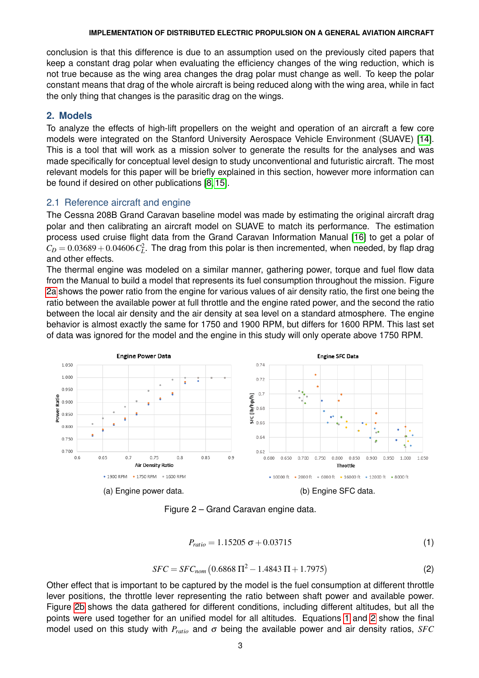conclusion is that this difference is due to an assumption used on the previously cited papers that keep a constant drag polar when evaluating the efficiency changes of the wing reduction, which is not true because as the wing area changes the drag polar must change as well. To keep the polar constant means that drag of the whole aircraft is being reduced along with the wing area, while in fact the only thing that changes is the parasitic drag on the wings.

### **2. Models**

To analyze the effects of high-lift propellers on the weight and operation of an aircraft a few core models were integrated on the Stanford University Aerospace Vehicle Environment (SUAVE) [\[14\]](#page-13-11). This is a tool that will work as a mission solver to generate the results for the analyses and was made specifically for conceptual level design to study unconventional and futuristic aircraft. The most relevant models for this paper will be briefly explained in this section, however more information can be found if desired on other publications [\[8,](#page-13-6) [15\]](#page-13-12).

### 2.1 Reference aircraft and engine

The Cessna 208B Grand Caravan baseline model was made by estimating the original aircraft drag polar and then calibrating an aircraft model on SUAVE to match its performance. The estimation process used cruise flight data from the Grand Caravan Information Manual [\[16\]](#page-13-13) to get a polar of  $C_D = 0.03689 + 0.04606 C_L^2$ . The drag from this polar is then incremented, when needed, by flap drag and other effects.

The thermal engine was modeled on a similar manner, gathering power, torque and fuel flow data from the Manual to build a model that represents its fuel consumption throughout the mission. Figure [2a](#page-2-0) shows the power ratio from the engine for various values of air density ratio, the first one being the ratio between the available power at full throttle and the engine rated power, and the second the ratio between the local air density and the air density at sea level on a standard atmosphere. The engine behavior is almost exactly the same for 1750 and 1900 RPM, but differs for 1600 RPM. This last set of data was ignored for the model and the engine in this study will only operate above 1750 RPM.

<span id="page-2-0"></span>

Figure 2 – Grand Caravan engine data.

$$
P_{ratio} = 1.15205 \,\sigma + 0.03715\tag{1}
$$

$$
SFC = SFC_{nom} (0.6868 \Pi^2 - 1.4843 \Pi + 1.7975)
$$
 (2)

<span id="page-2-2"></span><span id="page-2-1"></span>Other effect that is important to be captured by the model is the fuel consumption at different throttle lever positions, the throttle lever representing the ratio between shaft power and available power. Figure [2b](#page-2-0) shows the data gathered for different conditions, including different altitudes, but all the points were used together for an unified model for all altitudes. Equations [1](#page-2-1) and [2](#page-2-2) show the final model used on this study with *Pratio* and σ being the available power and air density ratios, *SFC*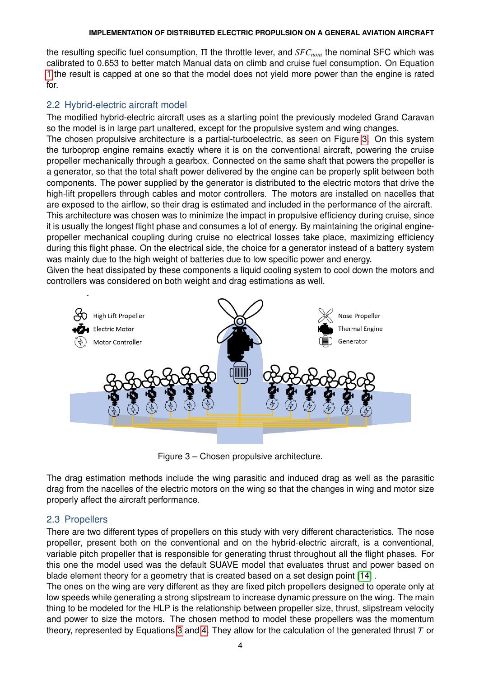the resulting specific fuel consumption, Π the throttle lever, and *SFCnom* the nominal SFC which was calibrated to 0.653 to better match Manual data on climb and cruise fuel consumption. On Equation [1](#page-2-1) the result is capped at one so that the model does not yield more power than the engine is rated for.

# 2.2 Hybrid-electric aircraft model

The modified hybrid-electric aircraft uses as a starting point the previously modeled Grand Caravan so the model is in large part unaltered, except for the propulsive system and wing changes.

The chosen propulsive architecture is a partial-turboelectric, as seen on Figure [3.](#page-3-0) On this system the turboprop engine remains exactly where it is on the conventional aircraft, powering the cruise propeller mechanically through a gearbox. Connected on the same shaft that powers the propeller is a generator, so that the total shaft power delivered by the engine can be properly split between both components. The power supplied by the generator is distributed to the electric motors that drive the high-lift propellers through cables and motor controllers. The motors are installed on nacelles that are exposed to the airflow, so their drag is estimated and included in the performance of the aircraft. This architecture was chosen was to minimize the impact in propulsive efficiency during cruise, since it is usually the longest flight phase and consumes a lot of energy. By maintaining the original enginepropeller mechanical coupling during cruise no electrical losses take place, maximizing efficiency during this flight phase. On the electrical side, the choice for a generator instead of a battery system was mainly due to the high weight of batteries due to low specific power and energy.

Given the heat dissipated by these components a liquid cooling system to cool down the motors and controllers was considered on both weight and drag estimations as well.

<span id="page-3-0"></span>

Figure 3 – Chosen propulsive architecture.

The drag estimation methods include the wing parasitic and induced drag as well as the parasitic drag from the nacelles of the electric motors on the wing so that the changes in wing and motor size properly affect the aircraft performance.

### 2.3 Propellers

There are two different types of propellers on this study with very different characteristics. The nose propeller, present both on the conventional and on the hybrid-electric aircraft, is a conventional, variable pitch propeller that is responsible for generating thrust throughout all the flight phases. For this one the model used was the default SUAVE model that evaluates thrust and power based on blade element theory for a geometry that is created based on a set design point [\[14\]](#page-13-11) .

The ones on the wing are very different as they are fixed pitch propellers designed to operate only at low speeds while generating a strong slipstream to increase dynamic pressure on the wing. The main thing to be modeled for the HLP is the relationship between propeller size, thrust, slipstream velocity and power to size the motors. The chosen method to model these propellers was the momentum theory, represented by Equations [3](#page-4-0) and [4.](#page-4-1) They allow for the calculation of the generated thrust *T* or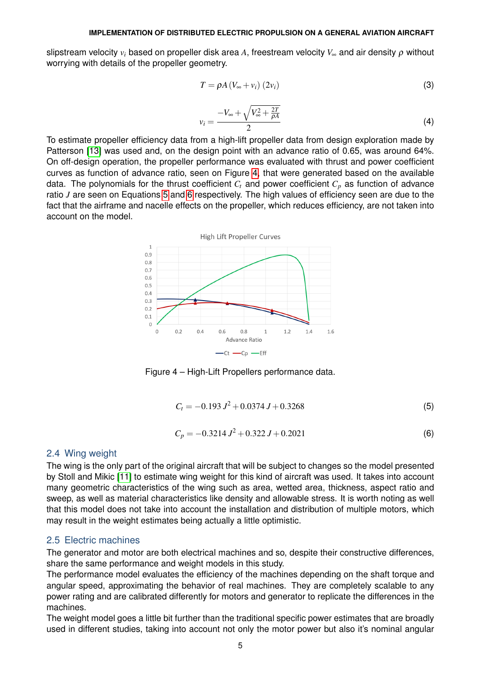<span id="page-4-0"></span>slipstream velocity *v<sup>i</sup>* based on propeller disk area *A*, freestream velocity *V*<sup>∞</sup> and air density ρ without worrying with details of the propeller geometry.

$$
T = \rho A \left( V_{\infty} + v_i \right) \left( 2v_i \right) \tag{3}
$$

$$
v_i = \frac{-V_{\infty} + \sqrt{V_{\infty}^2 + \frac{2T}{\rho A}}}{2} \tag{4}
$$

<span id="page-4-2"></span><span id="page-4-1"></span>To estimate propeller efficiency data from a high-lift propeller data from design exploration made by Patterson [\[13\]](#page-13-8) was used and, on the design point with an advance ratio of 0.65, was around 64%. On off-design operation, the propeller performance was evaluated with thrust and power coefficient curves as function of advance ratio, seen on Figure [4,](#page-4-2) that were generated based on the available data. The polynomials for the thrust coefficient *C<sup>t</sup>* and power coefficient *C<sup>p</sup>* as function of advance ratio *J* are seen on Equations [5](#page-4-3) and [6](#page-4-4) respectively. The high values of efficiency seen are due to the fact that the airframe and nacelle effects on the propeller, which reduces efficiency, are not taken into account on the model.



Figure 4 – High-Lift Propellers performance data.

$$
C_t = -0.193 J^2 + 0.0374 J + 0.3268
$$
\n<sup>(5)</sup>

$$
C_p = -0.3214 J^2 + 0.322 J + 0.2021
$$
 (6)

### <span id="page-4-4"></span><span id="page-4-3"></span>2.4 Wing weight

The wing is the only part of the original aircraft that will be subject to changes so the model presented by Stoll and Mikic [\[11\]](#page-13-14) to estimate wing weight for this kind of aircraft was used. It takes into account many geometric characteristics of the wing such as area, wetted area, thickness, aspect ratio and sweep, as well as material characteristics like density and allowable stress. It is worth noting as well that this model does not take into account the installation and distribution of multiple motors, which may result in the weight estimates being actually a little optimistic.

### 2.5 Electric machines

The generator and motor are both electrical machines and so, despite their constructive differences, share the same performance and weight models in this study.

The performance model evaluates the efficiency of the machines depending on the shaft torque and angular speed, approximating the behavior of real machines. They are completely scalable to any power rating and are calibrated differently for motors and generator to replicate the differences in the machines.

The weight model goes a little bit further than the traditional specific power estimates that are broadly used in different studies, taking into account not only the motor power but also it's nominal angular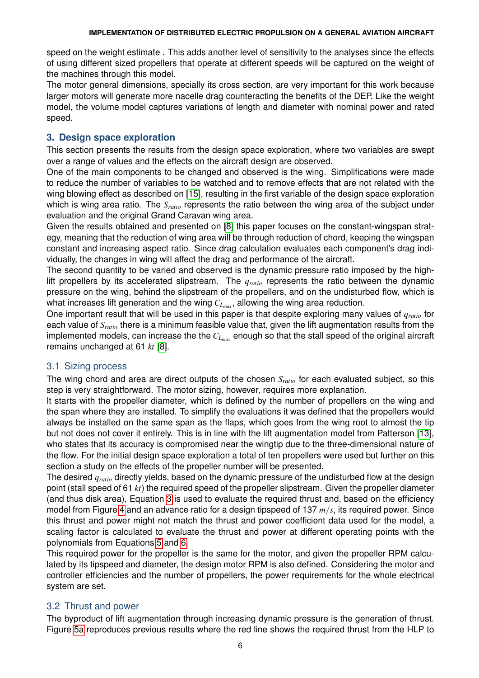speed on the weight estimate . This adds another level of sensitivity to the analyses since the effects of using different sized propellers that operate at different speeds will be captured on the weight of the machines through this model.

The motor general dimensions, specially its cross section, are very important for this work because larger motors will generate more nacelle drag counteracting the benefits of the DEP. Like the weight model, the volume model captures variations of length and diameter with nominal power and rated speed.

# **3. Design space exploration**

This section presents the results from the design space exploration, where two variables are swept over a range of values and the effects on the aircraft design are observed.

One of the main components to be changed and observed is the wing. Simplifications were made to reduce the number of variables to be watched and to remove effects that are not related with the wing blowing effect as described on [\[15\]](#page-13-12), resulting in the first variable of the design space exploration which is wing area ratio. The *S<sub>ratio</sub>* represents the ratio between the wing area of the subject under evaluation and the original Grand Caravan wing area.

Given the results obtained and presented on [\[8\]](#page-13-6) this paper focuses on the constant-wingspan strategy, meaning that the reduction of wing area will be through reduction of chord, keeping the wingspan constant and increasing aspect ratio. Since drag calculation evaluates each component's drag individually, the changes in wing will affect the drag and performance of the aircraft.

The second quantity to be varied and observed is the dynamic pressure ratio imposed by the highlift propellers by its accelerated slipstream. The *qratio* represents the ratio between the dynamic pressure on the wing, behind the slipstream of the propellers, and on the undisturbed flow, which is what increases lift generation and the wing *CLmax* , allowing the wing area reduction.

One important result that will be used in this paper is that despite exploring many values of *qratio* for each value of *Sratio* there is a minimum feasible value that, given the lift augmentation results from the implemented models, can increase the the  $C_{L_{max}}$  enough so that the stall speed of the original aircraft remains unchanged at 61 *kt* [\[8\]](#page-13-6).

### 3.1 Sizing process

The wing chord and area are direct outputs of the chosen *Sratio* for each evaluated subject, so this step is very straightforward. The motor sizing, however, requires more explanation.

It starts with the propeller diameter, which is defined by the number of propellers on the wing and the span where they are installed. To simplify the evaluations it was defined that the propellers would always be installed on the same span as the flaps, which goes from the wing root to almost the tip but not does not cover it entirely. This is in line with the lift augmentation model from Patterson [\[13\]](#page-13-8), who states that its accuracy is compromised near the wingtip due to the three-dimensional nature of the flow. For the initial design space exploration a total of ten propellers were used but further on this section a study on the effects of the propeller number will be presented.

The desired *qratio* directly yields, based on the dynamic pressure of the undisturbed flow at the design point (stall speed of 61 *kt*) the required speed of the propeller slipstream. Given the propeller diameter (and thus disk area), Equation [3](#page-4-0) is used to evaluate the required thrust and, based on the efficiency model from Figure [4](#page-4-2) and an advance ratio for a design tipspeed of 137 *m*/*s*, its required power. Since this thrust and power might not match the thrust and power coefficient data used for the model, a scaling factor is calculated to evaluate the thrust and power at different operating points with the polynomials from Equations [5](#page-4-3) and [6.](#page-4-4)

This required power for the propeller is the same for the motor, and given the propeller RPM calculated by its tipspeed and diameter, the design motor RPM is also defined. Considering the motor and controller efficiencies and the number of propellers, the power requirements for the whole electrical system are set.

# 3.2 Thrust and power

The byproduct of lift augmentation through increasing dynamic pressure is the generation of thrust. Figure [5a](#page-6-0) reproduces previous results where the red line shows the required thrust from the HLP to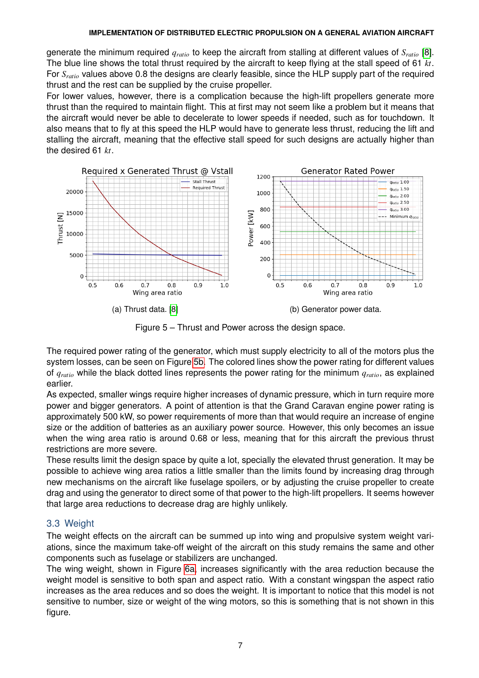generate the minimum required *qratio* to keep the aircraft from stalling at different values of *Sratio* [\[8\]](#page-13-6). The blue line shows the total thrust required by the aircraft to keep flying at the stall speed of 61 *kt*. For *Sratio* values above 0.8 the designs are clearly feasible, since the HLP supply part of the required thrust and the rest can be supplied by the cruise propeller.

For lower values, however, there is a complication because the high-lift propellers generate more thrust than the required to maintain flight. This at first may not seem like a problem but it means that the aircraft would never be able to decelerate to lower speeds if needed, such as for touchdown. It also means that to fly at this speed the HLP would have to generate less thrust, reducing the lift and stalling the aircraft, meaning that the effective stall speed for such designs are actually higher than the desired 61 *kt*.

<span id="page-6-0"></span>

Figure 5 – Thrust and Power across the design space.

The required power rating of the generator, which must supply electricity to all of the motors plus the system losses, can be seen on Figure [5b.](#page-6-0) The colored lines show the power rating for different values of *qratio* while the black dotted lines represents the power rating for the minimum *qratio*, as explained earlier.

As expected, smaller wings require higher increases of dynamic pressure, which in turn require more power and bigger generators. A point of attention is that the Grand Caravan engine power rating is approximately 500 kW, so power requirements of more than that would require an increase of engine size or the addition of batteries as an auxiliary power source. However, this only becomes an issue when the wing area ratio is around 0.68 or less, meaning that for this aircraft the previous thrust restrictions are more severe.

These results limit the design space by quite a lot, specially the elevated thrust generation. It may be possible to achieve wing area ratios a little smaller than the limits found by increasing drag through new mechanisms on the aircraft like fuselage spoilers, or by adjusting the cruise propeller to create drag and using the generator to direct some of that power to the high-lift propellers. It seems however that large area reductions to decrease drag are highly unlikely.

### 3.3 Weight

The weight effects on the aircraft can be summed up into wing and propulsive system weight variations, since the maximum take-off weight of the aircraft on this study remains the same and other components such as fuselage or stabilizers are unchanged.

The wing weight, shown in Figure [6a,](#page-7-0) increases significantly with the area reduction because the weight model is sensitive to both span and aspect ratio. With a constant wingspan the aspect ratio increases as the area reduces and so does the weight. It is important to notice that this model is not sensitive to number, size or weight of the wing motors, so this is something that is not shown in this figure.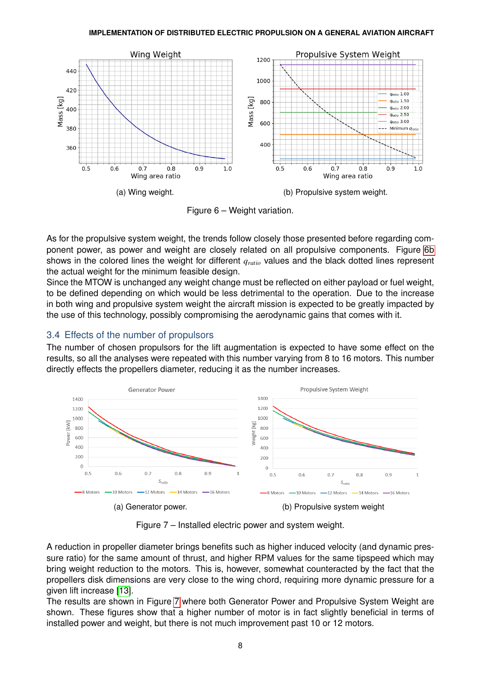<span id="page-7-0"></span>

Figure 6 – Weight variation.

As for the propulsive system weight, the trends follow closely those presented before regarding component power, as power and weight are closely related on all propulsive components. Figure [6b](#page-7-0) shows in the colored lines the weight for different *qratio* values and the black dotted lines represent the actual weight for the minimum feasible design.

Since the MTOW is unchanged any weight change must be reflected on either payload or fuel weight, to be defined depending on which would be less detrimental to the operation. Due to the increase in both wing and propulsive system weight the aircraft mission is expected to be greatly impacted by the use of this technology, possibly compromising the aerodynamic gains that comes with it.

# 3.4 Effects of the number of propulsors

The number of chosen propulsors for the lift augmentation is expected to have some effect on the results, so all the analyses were repeated with this number varying from 8 to 16 motors. This number directly effects the propellers diameter, reducing it as the number increases.

<span id="page-7-1"></span>

Figure 7 – Installed electric power and system weight.

A reduction in propeller diameter brings benefits such as higher induced velocity (and dynamic pressure ratio) for the same amount of thrust, and higher RPM values for the same tipspeed which may bring weight reduction to the motors. This is, however, somewhat counteracted by the fact that the propellers disk dimensions are very close to the wing chord, requiring more dynamic pressure for a given lift increase [\[13\]](#page-13-8).

The results are shown in Figure [7](#page-7-1) where both Generator Power and Propulsive System Weight are shown. These figures show that a higher number of motor is in fact slightly beneficial in terms of installed power and weight, but there is not much improvement past 10 or 12 motors.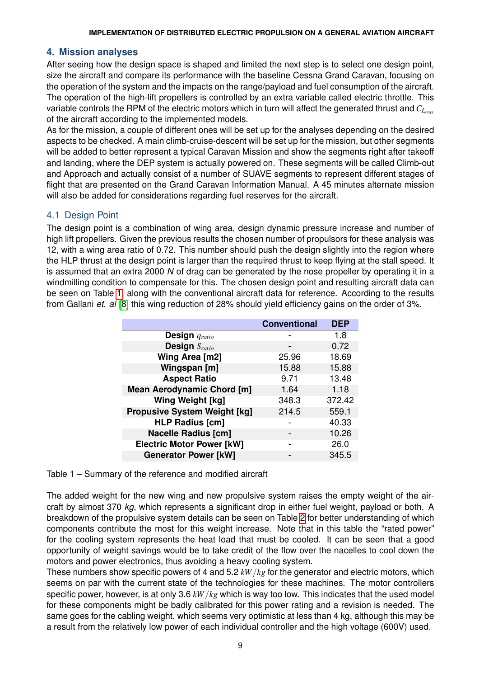# **4. Mission analyses**

After seeing how the design space is shaped and limited the next step is to select one design point, size the aircraft and compare its performance with the baseline Cessna Grand Caravan, focusing on the operation of the system and the impacts on the range/payload and fuel consumption of the aircraft. The operation of the high-lift propellers is controlled by an extra variable called electric throttle. This variable controls the RPM of the electric motors which in turn will affect the generated thrust and *CLmax* of the aircraft according to the implemented models.

As for the mission, a couple of different ones will be set up for the analyses depending on the desired aspects to be checked. A main climb-cruise-descent will be set up for the mission, but other segments will be added to better represent a typical Caravan Mission and show the segments right after takeoff and landing, where the DEP system is actually powered on. These segments will be called Climb-out and Approach and actually consist of a number of SUAVE segments to represent different stages of flight that are presented on the Grand Caravan Information Manual. A 45 minutes alternate mission will also be added for considerations regarding fuel reserves for the aircraft.

# 4.1 Design Point

The design point is a combination of wing area, design dynamic pressure increase and number of high lift propellers. Given the previous results the chosen number of propulsors for these analysis was 12, with a wing area ratio of 0.72. This number should push the design slightly into the region where the HLP thrust at the design point is larger than the required thrust to keep flying at the stall speed. It is assumed that an extra 2000 *N* of drag can be generated by the nose propeller by operating it in a windmilling condition to compensate for this. The chosen design point and resulting aircraft data can be seen on Table [1,](#page-8-0) along with the conventional aircraft data for reference. According to the results from Gallani *et. al* [\[8\]](#page-13-6) this wing reduction of 28% should yield efficiency gains on the order of 3%.

<span id="page-8-0"></span>

|                                     | <b>Conventional</b> | <b>DEP</b> |
|-------------------------------------|---------------------|------------|
| Design $q_{ratio}$                  |                     | 1.8        |
| Design $S_{ratio}$                  |                     | 0.72       |
| Wing Area [m2]                      | 25.96               | 18.69      |
| Wingspan [m]                        | 15.88               | 15.88      |
| <b>Aspect Ratio</b>                 | 9.71                | 13.48      |
| <b>Mean Aerodynamic Chord [m]</b>   | 1.64                | 1.18       |
| <b>Wing Weight [kg]</b>             | 348.3               | 372.42     |
| <b>Propusive System Weight [kg]</b> | 214.5               | 559.1      |
| <b>HLP Radius [cm]</b>              |                     | 40.33      |
| <b>Nacelle Radius [cm]</b>          |                     | 10.26      |
| <b>Electric Motor Power [kW]</b>    |                     | 26.0       |
| <b>Generator Power [kW]</b>         |                     | 345.5      |

Table 1 – Summary of the reference and modified aircraft

The added weight for the new wing and new propulsive system raises the empty weight of the aircraft by almost 370 *kg*, which represents a significant drop in either fuel weight, payload or both. A breakdown of the propulsive system details can be seen on Table [2](#page-9-0) for better understanding of which components contribute the most for this weight increase. Note that in this table the "rated power" for the cooling system represents the heat load that must be cooled. It can be seen that a good opportunity of weight savings would be to take credit of the flow over the nacelles to cool down the motors and power electronics, thus avoiding a heavy cooling system.

These numbers show specific powers of 4 and 5.2 *kW*/*kg* for the generator and electric motors, which seems on par with the current state of the technologies for these machines. The motor controllers specific power, however, is at only 3.6 *kW*/*kg* which is way too low. This indicates that the used model for these components might be badly calibrated for this power rating and a revision is needed. The same goes for the cabling weight, which seems very optimistic at less than 4 kg, although this may be a result from the relatively low power of each individual controller and the high voltage (600V) used.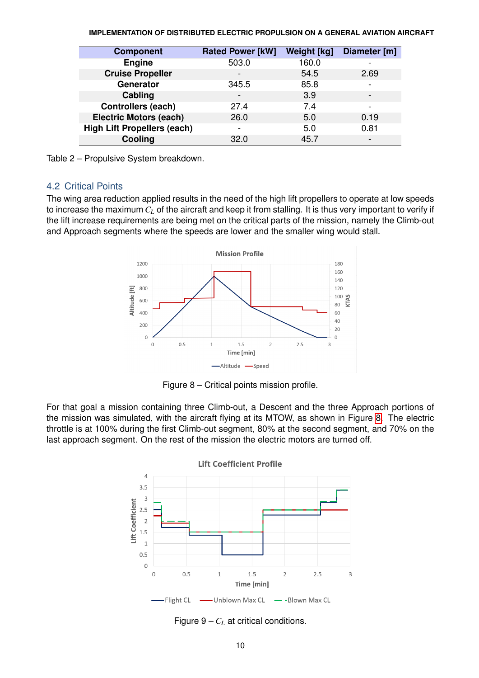<span id="page-9-0"></span>

| <b>Component</b>                   | <b>Rated Power [kW]</b>  | <b>Weight [kg]</b> | Diameter [m]             |
|------------------------------------|--------------------------|--------------------|--------------------------|
| <b>Engine</b>                      | 503.0                    | 160.0              |                          |
| <b>Cruise Propeller</b>            |                          | 54.5               | 2.69                     |
| Generator                          | 345.5                    | 85.8               | $\overline{\phantom{a}}$ |
| Cabling                            | $\overline{\phantom{a}}$ | 3.9                | $\overline{\phantom{0}}$ |
| <b>Controllers (each)</b>          | 27.4                     | 7.4                | $\overline{\phantom{a}}$ |
| <b>Electric Motors (each)</b>      | 26.0                     | 5.0                | 0.19                     |
| <b>High Lift Propellers (each)</b> |                          | 5.0                | 0.81                     |
| Cooling                            | 32.0                     | 45.7               |                          |

Table 2 – Propulsive System breakdown.

### 4.2 Critical Points

<span id="page-9-1"></span>The wing area reduction applied results in the need of the high lift propellers to operate at low speeds to increase the maximum *C<sup>L</sup>* of the aircraft and keep it from stalling. It is thus very important to verify if the lift increase requirements are being met on the critical parts of the mission, namely the Climb-out and Approach segments where the speeds are lower and the smaller wing would stall.



Figure 8 – Critical points mission profile.

<span id="page-9-2"></span>For that goal a mission containing three Climb-out, a Descent and the three Approach portions of the mission was simulated, with the aircraft flying at its MTOW, as shown in Figure [8.](#page-9-1) The electric throttle is at 100% during the first Climb-out segment, 80% at the second segment, and 70% on the last approach segment. On the rest of the mission the electric motors are turned off.



Figure  $9 - C_L$  at critical conditions.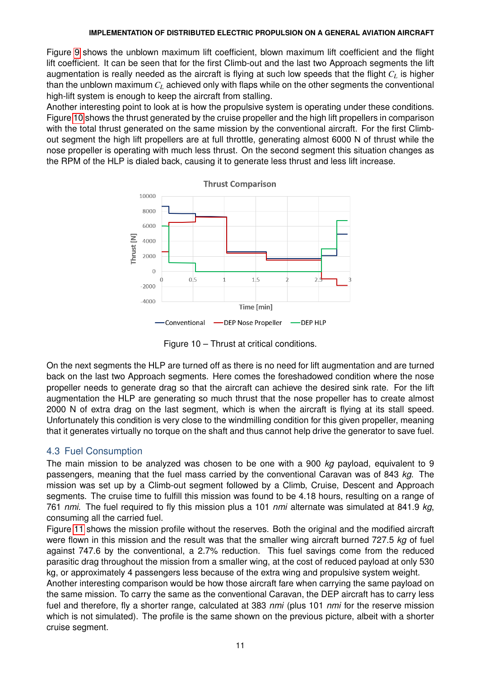Figure [9](#page-9-2) shows the unblown maximum lift coefficient, blown maximum lift coefficient and the flight lift coefficient. It can be seen that for the first Climb-out and the last two Approach segments the lift augmentation is really needed as the aircraft is flying at such low speeds that the flight *C<sup>L</sup>* is higher than the unblown maximum *C<sup>L</sup>* achieved only with flaps while on the other segments the conventional high-lift system is enough to keep the aircraft from stalling.

Another interesting point to look at is how the propulsive system is operating under these conditions. Figure [10](#page-10-0) shows the thrust generated by the cruise propeller and the high lift propellers in comparison with the total thrust generated on the same mission by the conventional aircraft. For the first Climbout segment the high lift propellers are at full throttle, generating almost 6000 N of thrust while the nose propeller is operating with much less thrust. On the second segment this situation changes as the RPM of the HLP is dialed back, causing it to generate less thrust and less lift increase.

<span id="page-10-0"></span>

Figure 10 – Thrust at critical conditions.

On the next segments the HLP are turned off as there is no need for lift augmentation and are turned back on the last two Approach segments. Here comes the foreshadowed condition where the nose propeller needs to generate drag so that the aircraft can achieve the desired sink rate. For the lift augmentation the HLP are generating so much thrust that the nose propeller has to create almost 2000 N of extra drag on the last segment, which is when the aircraft is flying at its stall speed. Unfortunately this condition is very close to the windmilling condition for this given propeller, meaning that it generates virtually no torque on the shaft and thus cannot help drive the generator to save fuel.

# 4.3 Fuel Consumption

The main mission to be analyzed was chosen to be one with a 900 *kg* payload, equivalent to 9 passengers, meaning that the fuel mass carried by the conventional Caravan was of 843 *kg*. The mission was set up by a Climb-out segment followed by a Climb, Cruise, Descent and Approach segments. The cruise time to fulfill this mission was found to be 4.18 hours, resulting on a range of 761 *nmi*. The fuel required to fly this mission plus a 101 *nmi* alternate was simulated at 841.9 *kg*, consuming all the carried fuel.

Figure [11](#page-11-0) shows the mission profile without the reserves. Both the original and the modified aircraft were flown in this mission and the result was that the smaller wing aircraft burned 727.5 *kg* of fuel against 747.6 by the conventional, a 2.7% reduction. This fuel savings come from the reduced parasitic drag throughout the mission from a smaller wing, at the cost of reduced payload at only 530 kg, or approximately 4 passengers less because of the extra wing and propulsive system weight.

Another interesting comparison would be how those aircraft fare when carrying the same payload on the same mission. To carry the same as the conventional Caravan, the DEP aircraft has to carry less fuel and therefore, fly a shorter range, calculated at 383 *nmi* (plus 101 *nmi* for the reserve mission which is not simulated). The profile is the same shown on the previous picture, albeit with a shorter cruise segment.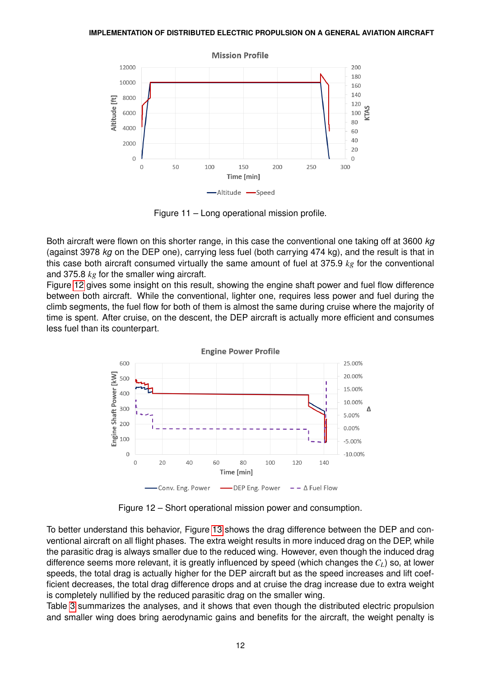<span id="page-11-0"></span>

Figure 11 – Long operational mission profile.

Both aircraft were flown on this shorter range, in this case the conventional one taking off at 3600 *kg* (against 3978 *kg* on the DEP one), carrying less fuel (both carrying 474 kg), and the result is that in this case both aircraft consumed virtually the same amount of fuel at 375.9 *kg* for the conventional and 375.8 *kg* for the smaller wing aircraft.

Figure [12](#page-11-1) gives some insight on this result, showing the engine shaft power and fuel flow difference between both aircraft. While the conventional, lighter one, requires less power and fuel during the climb segments, the fuel flow for both of them is almost the same during cruise where the majority of time is spent. After cruise, on the descent, the DEP aircraft is actually more efficient and consumes less fuel than its counterpart.

<span id="page-11-1"></span>

Figure 12 – Short operational mission power and consumption.

To better understand this behavior, Figure [13](#page-12-0) shows the drag difference between the DEP and conventional aircraft on all flight phases. The extra weight results in more induced drag on the DEP, while the parasitic drag is always smaller due to the reduced wing. However, even though the induced drag difference seems more relevant, it is greatly influenced by speed (which changes the *CL*) so, at lower speeds, the total drag is actually higher for the DEP aircraft but as the speed increases and lift coefficient decreases, the total drag difference drops and at cruise the drag increase due to extra weight is completely nullified by the reduced parasitic drag on the smaller wing.

Table [3](#page-12-1) summarizes the analyses, and it shows that even though the distributed electric propulsion and smaller wing does bring aerodynamic gains and benefits for the aircraft, the weight penalty is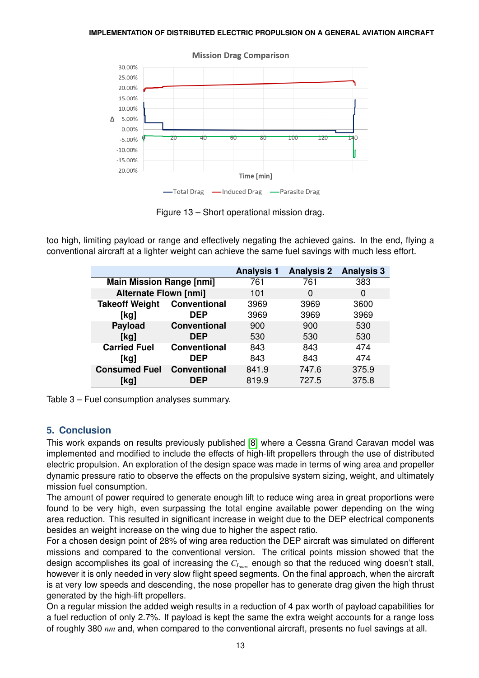<span id="page-12-0"></span>

**Mission Drag Comparison** 

Figure 13 – Short operational mission drag.

<span id="page-12-1"></span>too high, limiting payload or range and effectively negating the achieved gains. In the end, flying a conventional aircraft at a lighter weight can achieve the same fuel savings with much less effort.

|                                 |                     | <b>Analysis 1</b> | <b>Analysis 2</b> | <b>Analysis 3</b> |
|---------------------------------|---------------------|-------------------|-------------------|-------------------|
| <b>Main Mission Range [nmi]</b> |                     | 761               | 761               | 383               |
| <b>Alternate Flown [nmi]</b>    |                     | 101               | 0                 | 0                 |
| <b>Takeoff Weight</b>           | <b>Conventional</b> | 3969              | 3969              | 3600              |
| [kq]                            | <b>DEP</b>          | 3969              | 3969              | 3969              |
| <b>Payload</b>                  | <b>Conventional</b> | 900               | 900               | 530               |
| [kg]                            | <b>DEP</b>          | 530               | 530               | 530               |
| <b>Carried Fuel</b>             | <b>Conventional</b> | 843               | 843               | 474               |
| [kg]                            | <b>DEP</b>          | 843               | 843               | 474               |
| <b>Consumed Fuel</b>            | <b>Conventional</b> | 841.9             | 747.6             | 375.9             |
| [kg]                            | DEP                 | 819.9             | 727.5             | 375.8             |



### **5. Conclusion**

This work expands on results previously published [\[8\]](#page-13-6) where a Cessna Grand Caravan model was implemented and modified to include the effects of high-lift propellers through the use of distributed electric propulsion. An exploration of the design space was made in terms of wing area and propeller dynamic pressure ratio to observe the effects on the propulsive system sizing, weight, and ultimately mission fuel consumption.

The amount of power required to generate enough lift to reduce wing area in great proportions were found to be very high, even surpassing the total engine available power depending on the wing area reduction. This resulted in significant increase in weight due to the DEP electrical components besides an weight increase on the wing due to higher the aspect ratio.

For a chosen design point of 28% of wing area reduction the DEP aircraft was simulated on different missions and compared to the conventional version. The critical points mission showed that the design accomplishes its goal of increasing the  $C_{L_{max}}$  enough so that the reduced wing doesn't stall, however it is only needed in very slow flight speed segments. On the final approach, when the aircraft is at very low speeds and descending, the nose propeller has to generate drag given the high thrust generated by the high-lift propellers.

On a regular mission the added weigh results in a reduction of 4 pax worth of payload capabilities for a fuel reduction of only 2.7%. If payload is kept the same the extra weight accounts for a range loss of roughly 380 *nm* and, when compared to the conventional aircraft, presents no fuel savings at all.